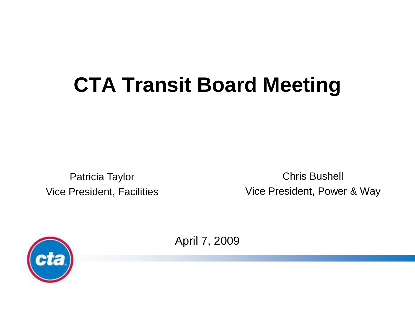# **CTA Transit Board Meeting**

Patricia Taylor Vice President, Facilities

Chris Bushell Vice President, Power & Way



April 7, 2009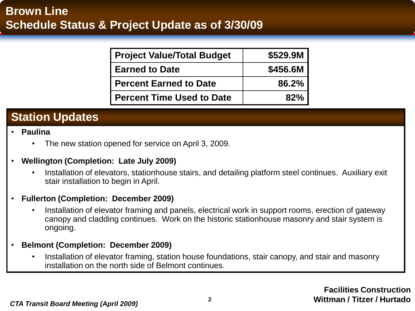| <b>Project Value/Total Budget</b> | \$529.9M |
|-----------------------------------|----------|
| <b>Earned to Date</b>             | \$456.6M |
| <b>Percent Earned to Date</b>     | 86.2%    |
| <b>Percent Time Used to Date</b>  | 82%      |

### **Station Updates**

- **Paulina**
	- The new station opened for service on April 3, 2009.
- **Wellington (Completion: Late July 2009)**
	- Installation of elevators, stationhouse stairs, and detailing platform steel continues. Auxiliary exit stair installation to begin in April.
- **Fullerton (Completion: December 2009)**
	- Installation of elevator framing and panels, electrical work in support rooms, erection of gateway canopy and cladding continues. Work on the historic stationhouse masonry and stair system is ongoing.
- **Belmont (Completion: December 2009)**
	- Installation of elevator framing, station house foundations, stair canopy, and stair and masonry installation on the north side of Belmont continues.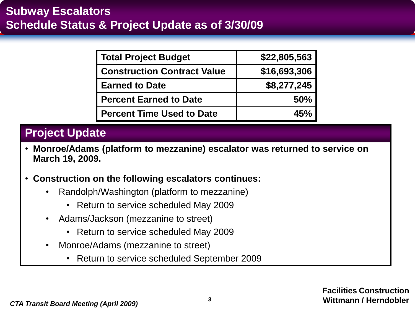| <b>Total Project Budget</b>        | \$22,805,563 |
|------------------------------------|--------------|
| <b>Construction Contract Value</b> | \$16,693,306 |
| <b>Earned to Date</b>              | \$8,277,245  |
| <b>Percent Earned to Date</b>      | <b>50%</b>   |
| <b>Percent Time Used to Date</b>   | 45%          |

- **Monroe/Adams (platform to mezzanine) escalator was returned to service on March 19, 2009.**
- **Construction on the following escalators continues:**
	- Randolph/Washington (platform to mezzanine)
		- Return to service scheduled May 2009
	- Adams/Jackson (mezzanine to street)
		- Return to service scheduled May 2009
	- Monroe/Adams (mezzanine to street)
		- Return to service scheduled September 2009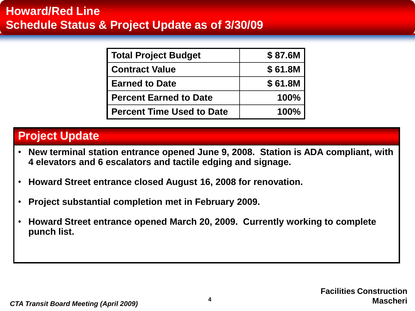| <b>Total Project Budget</b>      | \$87.6M |
|----------------------------------|---------|
| <b>Contract Value</b>            | \$61.8M |
| <b>Earned to Date</b>            | \$61.8M |
| <b>Percent Earned to Date</b>    | 100%    |
| <b>Percent Time Used to Date</b> | 100%    |

- **New terminal station entrance opened June 9, 2008. Station is ADA compliant, with 4 elevators and 6 escalators and tactile edging and signage.**
- **Howard Street entrance closed August 16, 2008 for renovation.**
- **Project substantial completion met in February 2009.**
- **Howard Street entrance opened March 20, 2009. Currently working to complete punch list.**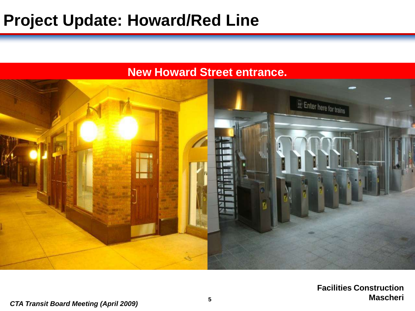## **Project Update: Howard/Red Line**

### **New Howard Street entrance.**



**Facilities Construction Mascheri**

#### *CTA Transit Board Meeting (April 2009)* **<sup>5</sup>**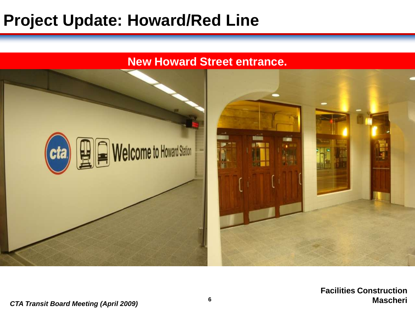## **Project Update: Howard/Red Line**

#### **New Howard Street entrance.**

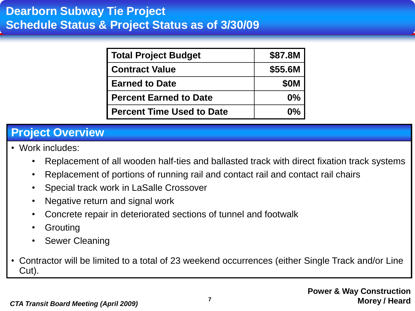| <b>Total Project Budget</b>      | \$87.8M     |
|----------------------------------|-------------|
| <b>Contract Value</b>            | \$55.6M     |
| <b>Earned to Date</b>            | <b>\$0M</b> |
| <b>Percent Earned to Date</b>    | 0%          |
| <b>Percent Time Used to Date</b> | 0%          |

### **Project Overview**

- Work includes:
	- Replacement of all wooden half-ties and ballasted track with direct fixation track systems
	- Replacement of portions of running rail and contact rail and contact rail chairs
	- Special track work in LaSalle Crossover
	- Negative return and signal work
	- Concrete repair in deteriorated sections of tunnel and footwalk
	- Grouting
	- Sewer Cleaning
- Contractor will be limited to a total of 23 weekend occurrences (either Single Track and/or Line Cut).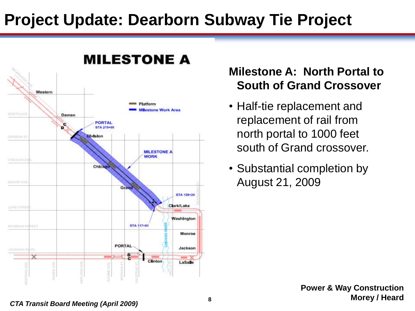## **Project Update: Dearborn Subway Tie Project**



## **Milestone A: North Portal to South of Grand Crossover**

- Half-tie replacement and replacement of rail from north portal to 1000 feet south of Grand crossover.
- Substantial completion by August 21, 2009

**Power & Way Construction Morey / Heard**

#### *CTA Transit Board Meeting (April 2009)* **<sup>8</sup>**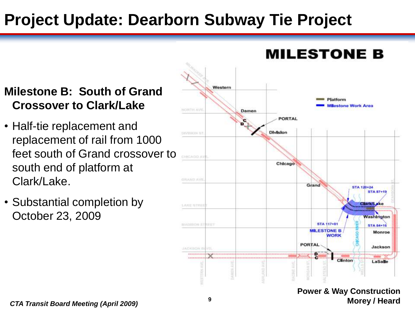## **Project Update: Dearborn Subway Tie Project**

## **Milestone B: South of Grand Crossover to Clark/Lake**

- Half-tie replacement and replacement of rail from 1000 feet south of Grand crossover to south end of platform at Clark/Lake.
- Substantial completion by October 23, 2009



#### **Power & Way Construction Morey / Heard**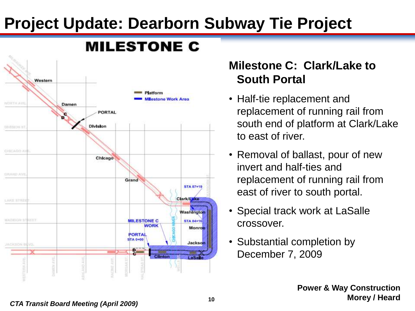## **Project Update: Dearborn Subway Tie Project**



## **Milestone C: Clark/Lake to South Portal**

- Half-tie replacement and replacement of running rail from south end of platform at Clark/Lake to east of river.
- Removal of ballast, pour of new invert and half-ties and replacement of running rail from east of river to south portal.
- Special track work at LaSalle crossover.
- Substantial completion by December 7, 2009

#### *CTA Transit Board Meeting (April 2009)* **<sup>10</sup>**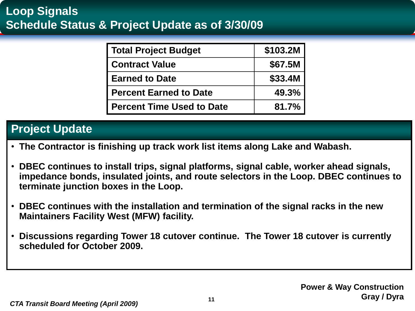## **Loop Signals Schedule Status & Project Update as of 3/30/09**

| <b>Total Project Budget</b>      | \$103.2M |
|----------------------------------|----------|
| <b>Contract Value</b>            | \$67.5M  |
| <b>Earned to Date</b>            | \$33.4M  |
| <b>Percent Earned to Date</b>    | 49.3%    |
| <b>Percent Time Used to Date</b> | 81.7%    |

- **The Contractor is finishing up track work list items along Lake and Wabash.**
- **DBEC continues to install trips, signal platforms, signal cable, worker ahead signals, impedance bonds, insulated joints, and route selectors in the Loop. DBEC continues to terminate junction boxes in the Loop.**
- **DBEC continues with the installation and termination of the signal racks in the new Maintainers Facility West (MFW) facility.**
- **Discussions regarding Tower 18 cutover continue. The Tower 18 cutover is currently scheduled for October 2009.**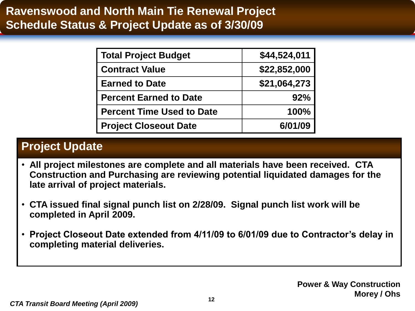| <b>Total Project Budget</b>      | \$44,524,011 |
|----------------------------------|--------------|
| <b>Contract Value</b>            | \$22,852,000 |
| <b>Earned to Date</b>            | \$21,064,273 |
| <b>Percent Earned to Date</b>    | 92%          |
| <b>Percent Time Used to Date</b> | 100%         |
| <b>Project Closeout Date</b>     | 6/01/09      |

- **All project milestones are complete and all materials have been received. CTA Construction and Purchasing are reviewing potential liquidated damages for the late arrival of project materials.**
- **CTA issued final signal punch list on 2/28/09. Signal punch list work will be completed in April 2009.**
- **Project Closeout Date extended from 4/11/09 to 6/01/09 due to Contractor's delay in completing material deliveries.**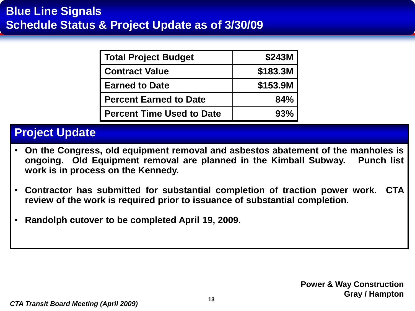| <b>Total Project Budget</b>      | \$243M   |
|----------------------------------|----------|
| <b>Contract Value</b>            | \$183.3M |
| <b>Earned to Date</b>            | \$153.9M |
| <b>Percent Earned to Date</b>    | 84%      |
| <b>Percent Time Used to Date</b> | 93%      |

- **On the Congress, old equipment removal and asbestos abatement of the manholes is ongoing. Old Equipment removal are planned in the Kimball Subway. Punch list work is in process on the Kennedy.**
- **Contractor has submitted for substantial completion of traction power work. CTA review of the work is required prior to issuance of substantial completion.**
- **Randolph cutover to be completed April 19, 2009.**